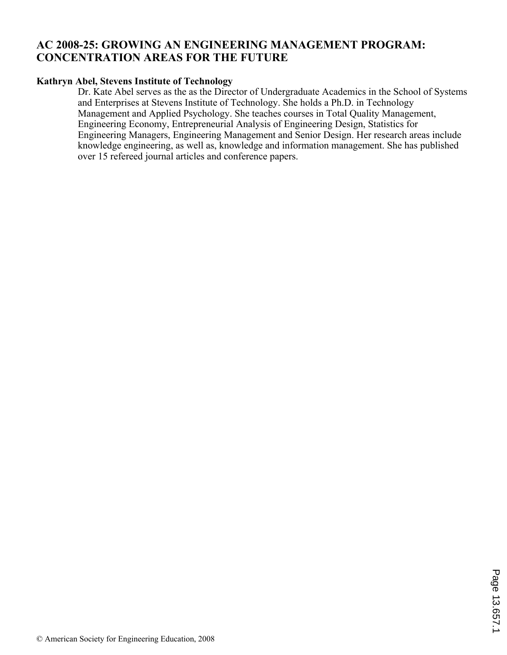# **AC 2008-25: GROWING AN ENGINEERING MANAGEMENT PROGRAM: CONCENTRATION AREAS FOR THE FUTURE**

## **Kathryn Abel, Stevens Institute of Technology**

Dr. Kate Abel serves as the as the Director of Undergraduate Academics in the School of Systems and Enterprises at Stevens Institute of Technology. She holds a Ph.D. in Technology Management and Applied Psychology. She teaches courses in Total Quality Management, Engineering Economy, Entrepreneurial Analysis of Engineering Design, Statistics for Engineering Managers, Engineering Management and Senior Design. Her research areas include knowledge engineering, as well as, knowledge and information management. She has published over 15 refereed journal articles and conference papers.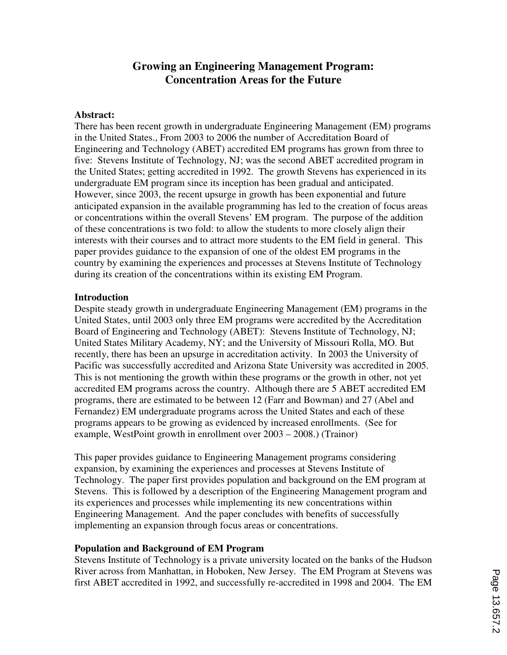# **Growing an Engineering Management Program: Concentration Areas for the Future**

#### **Abstract:**

There has been recent growth in undergraduate Engineering Management (EM) programs in the United States., From 2003 to 2006 the number of Accreditation Board of Engineering and Technology (ABET) accredited EM programs has grown from three to five: Stevens Institute of Technology, NJ; was the second ABET accredited program in the United States; getting accredited in 1992. The growth Stevens has experienced in its undergraduate EM program since its inception has been gradual and anticipated. However, since 2003, the recent upsurge in growth has been exponential and future anticipated expansion in the available programming has led to the creation of focus areas or concentrations within the overall Stevens' EM program. The purpose of the addition of these concentrations is two fold: to allow the students to more closely align their interests with their courses and to attract more students to the EM field in general. This paper provides guidance to the expansion of one of the oldest EM programs in the country by examining the experiences and processes at Stevens Institute of Technology during its creation of the concentrations within its existing EM Program.

#### **Introduction**

Despite steady growth in undergraduate Engineering Management (EM) programs in the United States, until 2003 only three EM programs were accredited by the Accreditation Board of Engineering and Technology (ABET): Stevens Institute of Technology, NJ; United States Military Academy, NY; and the University of Missouri Rolla, MO. But recently, there has been an upsurge in accreditation activity. In 2003 the University of Pacific was successfully accredited and Arizona State University was accredited in 2005. This is not mentioning the growth within these programs or the growth in other, not yet accredited EM programs across the country. Although there are 5 ABET accredited EM programs, there are estimated to be between 12 (Farr and Bowman) and 27 (Abel and Fernandez) EM undergraduate programs across the United States and each of these programs appears to be growing as evidenced by increased enrollments. (See for example, WestPoint growth in enrollment over 2003 – 2008.) (Trainor)

This paper provides guidance to Engineering Management programs considering expansion, by examining the experiences and processes at Stevens Institute of Technology. The paper first provides population and background on the EM program at Stevens. This is followed by a description of the Engineering Management program and its experiences and processes while implementing its new concentrations within Engineering Management. And the paper concludes with benefits of successfully implementing an expansion through focus areas or concentrations.

### **Population and Background of EM Program**

Stevens Institute of Technology is a private university located on the banks of the Hudson River across from Manhattan, in Hoboken, New Jersey. The EM Program at Stevens was first ABET accredited in 1992, and successfully re-accredited in 1998 and 2004. The EM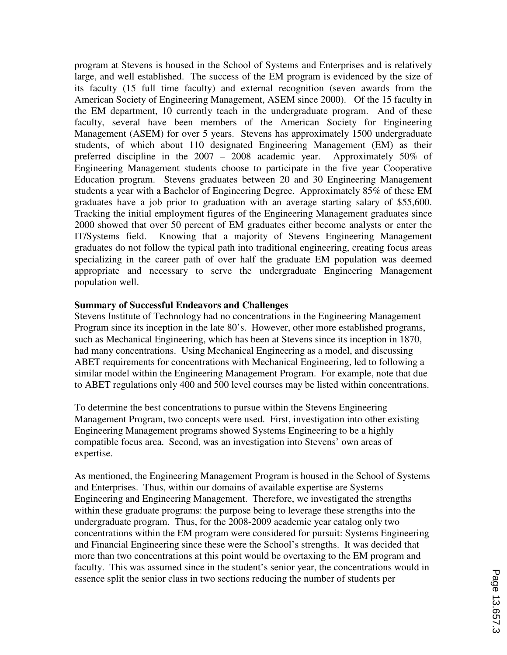program at Stevens is housed in the School of Systems and Enterprises and is relatively large, and well established. The success of the EM program is evidenced by the size of its faculty (15 full time faculty) and external recognition (seven awards from the American Society of Engineering Management, ASEM since 2000). Of the 15 faculty in the EM department, 10 currently teach in the undergraduate program. And of these faculty, several have been members of the American Society for Engineering Management (ASEM) for over 5 years. Stevens has approximately 1500 undergraduate students, of which about 110 designated Engineering Management (EM) as their preferred discipline in the 2007 – 2008 academic year. Approximately 50% of Engineering Management students choose to participate in the five year Cooperative Education program. Stevens graduates between 20 and 30 Engineering Management students a year with a Bachelor of Engineering Degree. Approximately 85% of these EM graduates have a job prior to graduation with an average starting salary of \$55,600. Tracking the initial employment figures of the Engineering Management graduates since 2000 showed that over 50 percent of EM graduates either become analysts or enter the IT/Systems field. Knowing that a majority of Stevens Engineering Management graduates do not follow the typical path into traditional engineering, creating focus areas specializing in the career path of over half the graduate EM population was deemed appropriate and necessary to serve the undergraduate Engineering Management population well.

### **Summary of Successful Endeavors and Challenges**

Stevens Institute of Technology had no concentrations in the Engineering Management Program since its inception in the late 80's. However, other more established programs, such as Mechanical Engineering, which has been at Stevens since its inception in 1870, had many concentrations. Using Mechanical Engineering as a model, and discussing ABET requirements for concentrations with Mechanical Engineering, led to following a similar model within the Engineering Management Program. For example, note that due to ABET regulations only 400 and 500 level courses may be listed within concentrations.

To determine the best concentrations to pursue within the Stevens Engineering Management Program, two concepts were used. First, investigation into other existing Engineering Management programs showed Systems Engineering to be a highly compatible focus area. Second, was an investigation into Stevens' own areas of expertise.

As mentioned, the Engineering Management Program is housed in the School of Systems and Enterprises. Thus, within our domains of available expertise are Systems Engineering and Engineering Management. Therefore, we investigated the strengths within these graduate programs: the purpose being to leverage these strengths into the undergraduate program. Thus, for the 2008-2009 academic year catalog only two concentrations within the EM program were considered for pursuit: Systems Engineering and Financial Engineering since these were the School's strengths. It was decided that more than two concentrations at this point would be overtaxing to the EM program and faculty. This was assumed since in the student's senior year, the concentrations would in essence split the senior class in two sections reducing the number of students per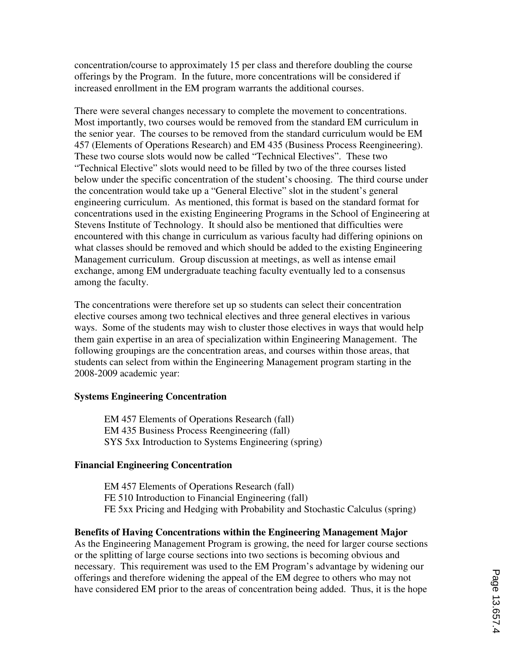concentration/course to approximately 15 per class and therefore doubling the course offerings by the Program. In the future, more concentrations will be considered if increased enrollment in the EM program warrants the additional courses.

There were several changes necessary to complete the movement to concentrations. Most importantly, two courses would be removed from the standard EM curriculum in the senior year. The courses to be removed from the standard curriculum would be EM 457 (Elements of Operations Research) and EM 435 (Business Process Reengineering). These two course slots would now be called "Technical Electives". These two "Technical Elective" slots would need to be filled by two of the three courses listed below under the specific concentration of the student's choosing. The third course under the concentration would take up a "General Elective" slot in the student's general engineering curriculum. As mentioned, this format is based on the standard format for concentrations used in the existing Engineering Programs in the School of Engineering at Stevens Institute of Technology. It should also be mentioned that difficulties were encountered with this change in curriculum as various faculty had differing opinions on what classes should be removed and which should be added to the existing Engineering Management curriculum. Group discussion at meetings, as well as intense email exchange, among EM undergraduate teaching faculty eventually led to a consensus among the faculty.

The concentrations were therefore set up so students can select their concentration elective courses among two technical electives and three general electives in various ways. Some of the students may wish to cluster those electives in ways that would help them gain expertise in an area of specialization within Engineering Management. The following groupings are the concentration areas, and courses within those areas, that students can select from within the Engineering Management program starting in the 2008-2009 academic year:

### **Systems Engineering Concentration**

 EM 457 Elements of Operations Research (fall) EM 435 Business Process Reengineering (fall) SYS 5xx Introduction to Systems Engineering (spring)

### **Financial Engineering Concentration**

 EM 457 Elements of Operations Research (fall) FE 510 Introduction to Financial Engineering (fall) FE 5xx Pricing and Hedging with Probability and Stochastic Calculus (spring)

## **Benefits of Having Concentrations within the Engineering Management Major**

As the Engineering Management Program is growing, the need for larger course sections or the splitting of large course sections into two sections is becoming obvious and necessary. This requirement was used to the EM Program's advantage by widening our offerings and therefore widening the appeal of the EM degree to others who may not have considered EM prior to the areas of concentration being added. Thus, it is the hope